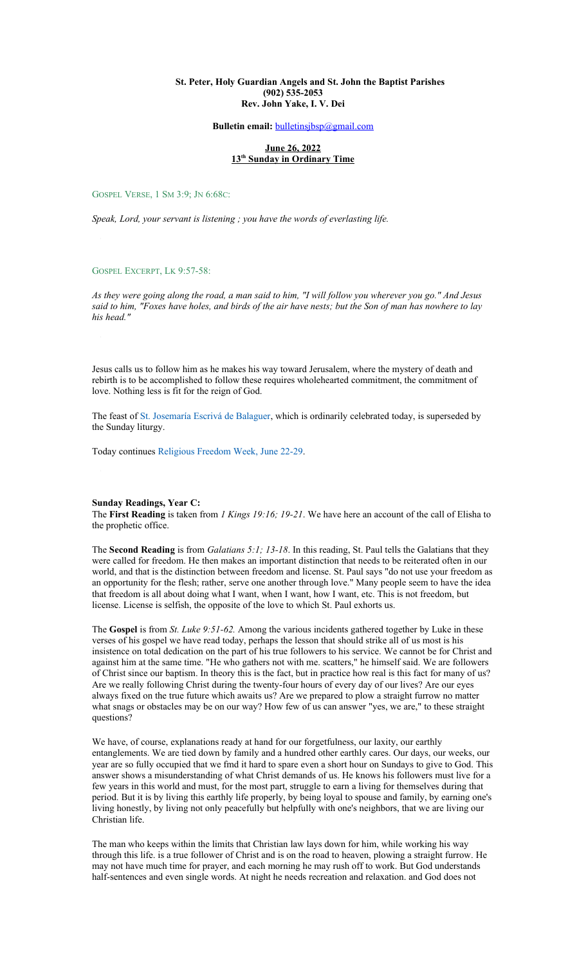#### **St. Peter, Holy Guardian Angels and St. John the Baptist Parishes (902) 535-2053 Rev. John Yake, I. V. Dei**

#### **Bulletin email:** [bulletinsjbsp@gmail.com](mailto:bulletinsjbsp@gmail.com)

#### **June 26, 2022 13th Sunday in Ordinary Time**

GOSPEL VERSE, 1 SM 3:9; JN 6:68C:

*Speak, Lord, your servant is listening ; you have the words of everlasting life.*

GOSPEL EXCERPT, LK 9:57-58:

*As they were going along the road, a man said to him, "I will follow you wherever you go." And Jesus said to him, "Foxes have holes, and birds of the air have nests; but the Son of man has nowhere to lay his head."*

Jesus calls us to follow him as he makes his way toward Jerusalem, where the mystery of death and rebirth is to be accomplished to follow these requires wholehearted commitment, the commitment of love. Nothing less is fit for the reign of God.

The feast of [St. Josemaría Escrivá de Balaguer,](https://www.catholicculture.org/culture/liturgicalyear/calendar/day.cfm?id=178) which is ordinarily celebrated today, is superseded by the Sunday liturgy.

Today continues [Religious Freedom Week, June 22-29.](https://www.usccb.org/committees/religious-liberty/religious-freedom-week)

#### **Sunday Readings, Year C:**

The **First Reading** is taken from *1 Kings 19:16; 19-21*. We have here an account of the call of Elisha to the prophetic office.

The **Second Reading** is from *Galatians 5:1; 13-18*. In this reading, St. Paul tells the Galatians that they were called for freedom. He then makes an important distinction that needs to be reiterated often in our world, and that is the distinction between freedom and license. St. Paul says "do not use your freedom as an opportunity for the flesh; rather, serve one another through love." Many people seem to have the idea that freedom is all about doing what I want, when I want, how I want, etc. This is not freedom, but license. License is selfish, the opposite of the love to which St. Paul exhorts us.

The **Gospel** is from *St. Luke 9:51-62.* Among the various incidents gathered together by Luke in these verses of his gospel we have read today, perhaps the lesson that should strike all of us most is his insistence on total dedication on the part of his true followers to his service. We cannot be for Christ and against him at the same time. "He who gathers not with me. scatters," he himself said. We are followers of Christ since our baptism. In theory this is the fact, but in practice how real is this fact for many of us? Are we really following Christ during the twenty-four hours of every day of our lives? Are our eyes always fixed on the true future which awaits us? Are we prepared to plow a straight furrow no matter what snags or obstacles may be on our way? How few of us can answer "yes, we are," to these straight questions?

We have, of course, explanations ready at hand for our forgetfulness, our laxity, our earthly entanglements. We are tied down by family and a hundred other earthly cares. Our days, our weeks, our year are so fully occupied that we fmd it hard to spare even a short hour on Sundays to give to God. This answer shows a misunderstanding of what Christ demands of us. He knows his followers must live for a few years in this world and must, for the most part, struggle to earn a living for themselves during that period. But it is by living this earthly life properly, by being loyal to spouse and family, by earning one's living honestly, by living not only peacefully but helpfully with one's neighbors, that we are living our Christian life.

The man who keeps within the limits that Christian law lays down for him, while working his way through this life. is a true follower of Christ and is on the road to heaven, plowing a straight furrow. He may not have much time for prayer, and each morning he may rush off to work. But God understands half-sentences and even single words. At night he needs recreation and relaxation. and God does not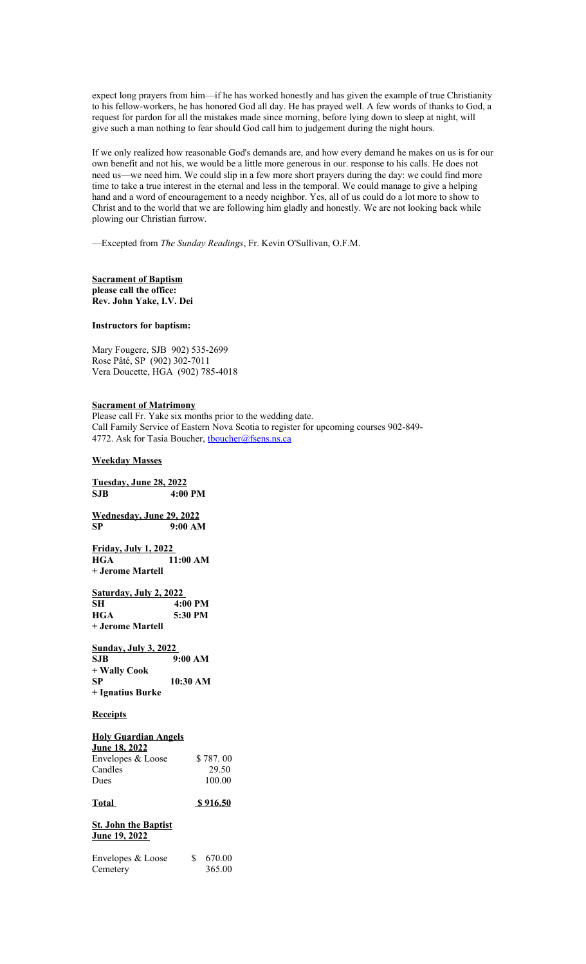expect long prayers from him—if he has worked honestly and has given the example of true Christianity to his fellow-workers, he has honored God all day. He has prayed well. A few words of thanks to God, a request for pardon for all the mistakes made since morning, before lying down to sleep at night, will give such a man nothing to fear should God call him to judgement during the night hours.

If we only realized how reasonable God's demands are, and how every demand he makes on us is for our own benefit and not his, we would be a little more generous in our. response to his calls. He does not need us—we need him. We could slip in a few more short prayers during the day: we could find more time to take a true interest in the eternal and less in the temporal. We could manage to give a helping hand and a word of encouragement to a needy neighbor. Yes, all of us could do a lot more to show to Christ and to the world that we are following him gladly and honestly. We are not looking back while plowing our Christian furrow.

—Excepted from *The Sunday Readings*, Fr. Kevin O'Sullivan, O.F.M.

**Sacrament of Baptism please call the office: Rev. John Yake, I.V. Dei**

## **Instructors for baptism:**

Mary Fougere, SJB 902) 535-2699 Rose Pâté, SP (902) 302-7011 Vera Doucette, HGA (902) 785-4018

#### **Sacrament of Matrimony**

Please call Fr. Yake six months prior to the wedding date. Call Family Service of Eastern Nova Scotia to register for upcoming courses 902-849- 4772. Ask for Tasia Boucher, thoucher@fsens.ns.ca

#### **Weekday Masses**

**Tuesday, June 28, 2022 SJB 4:00 PM**

**Wednesday, June 29, 2022 SP 9:00 AM**

**Friday, July 1, 2022 11:00 AM + Jerome Martell**

**Saturday, July 2, 2022 SH** 4:00 PM<br> **HGA** 5:30 PM 5:30 PM **+ Jerome Martell**

#### **Sunday, July 3, 2022**

| SJB              | 9:00 AM  |
|------------------|----------|
| + Wally Cook     |          |
| SP               | 10:30 AM |
| + Ignatius Burke |          |

#### **Receipts**

# **Holy Guardian Angels June 18, 2022** Envelopes  $& Loose$  \$ 787.00 Candles 29.50<br>Dues 100.00  $100.00$ **Total \$ 916.50**

**St. John the Baptist June 19, 2022** 

| Envelopes & Loose | 670.00 |
|-------------------|--------|
| Cemetery          | 365.00 |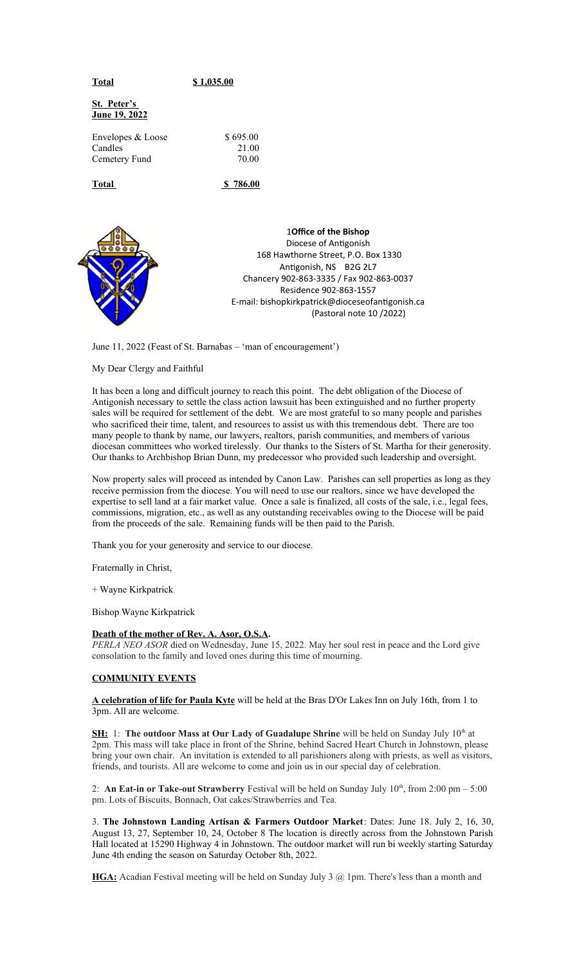| Total                                         | \$1,035.00                 |  |
|-----------------------------------------------|----------------------------|--|
| St. Peter's<br><u>June 19, 2022</u>           |                            |  |
| Envelopes & Loose<br>Candles<br>Cemetery Fund | \$695.00<br>21.00<br>70.00 |  |
| Total                                         | \$786.00                   |  |
|                                               |                            |  |



**10ffice of the Bishop** Diocese of Antigonish 168 Hawthorne Street, P.O. Box 1330 Antigonish, NS B2G 2L7 Chancery 902-863-3335 / Fax 902-863-0037 Residence 902-863-1557 E-mail: bishopkirkpatrick@dioceseofantigonish.ca (Pastoral note  $10/2022$ )

June 11, 2022 (Feast of St. Barnabas – 'man of encouragement')

## My Dear Clergy and Faithful

It has been a long and difficult journey to reach this point. The debt obligation of the Diocese of Antigonish necessary to settle the class action lawsuit has been extinguished and no further property sales will be required for settlement of the debt. We are most grateful to so many people and parishes who sacrificed their time, talent, and resources to assist us with this tremendous debt. There are too many people to thank by name, our lawyers, realtors, parish communities, and members of various diocesan committees who worked tirelessly. Our thanks to the Sisters of St. Martha for their generosity. Our thanks to Archbishop Brian Dunn, my predecessor who provided such leadership and oversight.

Now property sales will proceed as intended by Canon Law. Parishes can sell properties as long as they receive permission from the diocese. You will need to use our realtors, since we have developed the expertise to sell land at a fair market value. Once a sale is finalized, all costs of the sale, i.e., legal fees, commissions, migration, etc., as well as any outstanding receivables owing to the Diocese will be paid from the proceeds of the sale. Remaining funds will be then paid to the Parish.

Thank you for your generosity and service to our diocese.

Fraternally in Christ,

+ Wayne Kirkpatrick

Bishop Wayne Kirkpatrick

## **Death of the mother of Rev. A. Asor, O.S.A.**

*PERLA NEO ASOR* died on Wednesday, June 15, 2022. May her soul rest in peace and the Lord give consolation to the family and loved ones during this time of mourning.

#### **COMMUNITY EVENTS**

**A celebration of life for Paula Kyte** will be held at the Bras D'Or Lakes Inn on July 16th, from 1 to 3pm. All are welcome.

**SH:** 1: The outdoor Mass at Our Lady of Guadalupe Shrine will be held on Sunday July 10<sup>th</sup> at 2pm. This mass will take place in front of the Shrine, behind Sacred Heart Church in Johnstown, please bring your own chair. An invitation is extended to all parishioners along with priests, as well as visitors, friends, and tourists. All are welcome to come and join us in our special day of celebration.

2: **An Eat-in or Take-out Strawberry** Festival will be held on Sunday July  $10^{th}$ , from 2:00 pm – 5:00 pm. Lots of Biscuits, Bonnach, Oat cakes/Strawberries and Tea.

3. **The Johnstown Landing Artisan & Farmers Outdoor Market**: Dates: June 18. July 2, 16, 30, August 13, 27, September 10, 24, October 8 The location is directly across from the Johnstown Parish Hall located at 15290 Highway 4 in Johnstown. The outdoor market will run bi weekly starting Saturday June 4th ending the season on Saturday October 8th, 2022.

**HGA:** Acadian Festival meeting will be held on Sunday July 3 @ 1pm. There's less than a month and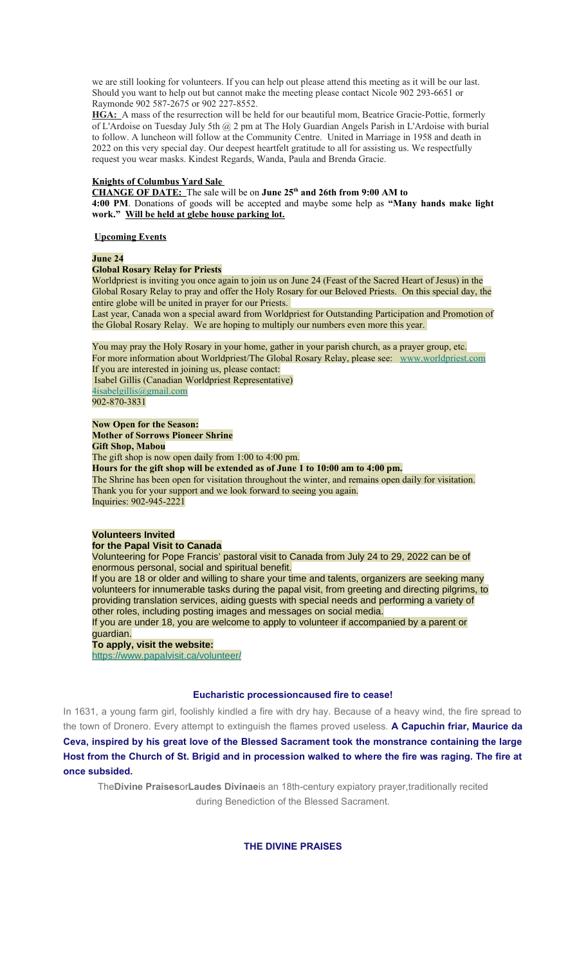we are still looking for volunteers. If you can help out please attend this meeting as it will be our last. Should you want to help out but cannot make the meeting please contact Nicole 902 293-6651 or Raymonde 902 587-2675 or 902 227-8552.

**HGA:** A mass of the resurrection will be held for our beautiful mom, Beatrice Gracie-Pottie, formerly of L'Ardoise on Tuesday July 5th @ 2 pm at The Holy Guardian Angels Parish in L'Ardoise with burial to follow. A luncheon will follow at the Community Centre. United in Marriage in 1958 and death in 2022 on this very special day. Our deepest heartfelt gratitude to all for assisting us. We respectfully request you wear masks. Kindest Regards, Wanda, Paula and Brenda Gracie.

#### **Knights of Columbus Yard Sale**

**CHANGE OF DATE:** The sale will be on **June 25th and 26th from 9:00 AM to 4:00 PM**. Donations of goods will be accepted and maybe some help as **"Many hands make light work." Will be held at glebe house parking lot.**

#### **Upcoming Events**

### **June 24**

#### **Global Rosary Relay for Priests**

Worldpriest is inviting you once again to join us on June 24 (Feast of the Sacred Heart of Jesus) in the Global Rosary Relay to pray and offer the Holy Rosary for our Beloved Priests. On this special day, the entire globe will be united in prayer for our Priests.

Last year, Canada won a special award from Worldpriest for Outstanding Participation and Promotion of the Global Rosary Relay. We are hoping to multiply our numbers even more this year.

You may pray the Holy Rosary in your home, gather in your parish church, as a prayer group, etc. For more information about Worldpriest/The Global Rosary Relay, please see: [www.worldpriest.com](https://antigonishdiocese.us11.list-manage.com/track/click?u=46108c95b96680ff598b4aa1d&id=4f9fab1a7e&e=60939d450d) If you are interested in joining us, please contact: Isabel Gillis (Canadian Worldpriest Representative) [4isabelgillis@gmail.com](mailto:4isabelgillis@gmail.com) 902-870-3831

# **Now Open for the Season:**

**Mother of Sorrows Pioneer Shrine Gift Shop, Mabou** The gift shop is now open daily from 1:00 to 4:00 pm. **Hours for the gift shop will be extended as of June 1 to 10:00 am to 4:00 pm.** The Shrine has been open for visitation throughout the winter, and remains open daily for visitation. Thank you for your support and we look forward to seeing you again. Inquiries: 902-945-2221

### **Volunteers Invited**

#### **for the Papal Visit to Canada**

Volunteering for Pope Francis' pastoral visit to Canada from July 24 to 29, 2022 can be of enormous personal, social and spiritual benefit.

If you are 18 or older and willing to share your time and talents, organizers are seeking many volunteers for innumerable tasks during the papal visit, from greeting and directing pilgrims, to providing translation services, aiding guests with special needs and performing a variety of other roles, including posting images and messages on social media.

If you are under 18, you are welcome to apply to volunteer if accompanied by a parent or guardian.

# **To apply, visit the website:**

[https://www.papalvisit.ca/volunteer/](https://antigonishdiocese.us11.list-manage.com/track/click?u=46108c95b96680ff598b4aa1d&id=635ff3c79c&e=60939d450d)

### **Eucharistic processioncaused fire to cease!**

In 1631, a young farm girl, foolishly kindled a fire with dry hay. Because of a heavy wind, the fire spread to the town of Dronero. Every attempt to extinguish the flames proved useless. **A Capuchin friar, Maurice da Ceva, inspired by his great love of the Blessed Sacrament took the monstrance containing the large Host from the Church of St. Brigid and in procession walked to where the fire was raging. The fire at once subsided.**

The**Divine Praises**or**Laudes Divinae**is an 18th-century expiatory prayer,traditionally recited during Benediction of the Blessed Sacrament.

**THE DIVINE PRAISES**